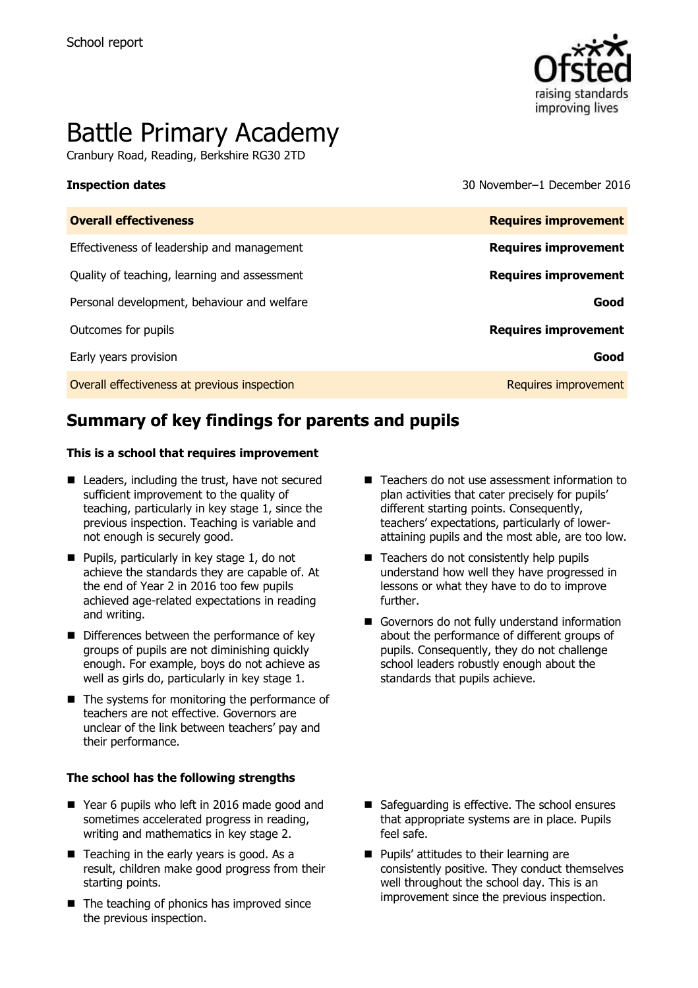

# Battle Primary Academy

Cranbury Road, Reading, Berkshire RG30 2TD

**Inspection dates** 30 November–1 December 2016

| <b>Overall effectiveness</b>                 | <b>Requires improvement</b> |
|----------------------------------------------|-----------------------------|
| Effectiveness of leadership and management   | <b>Requires improvement</b> |
| Quality of teaching, learning and assessment | <b>Requires improvement</b> |
| Personal development, behaviour and welfare  | Good                        |
| Outcomes for pupils                          | <b>Requires improvement</b> |
| Early years provision                        | Good                        |
| Overall effectiveness at previous inspection | Requires improvement        |

# **Summary of key findings for parents and pupils**

### **This is a school that requires improvement**

- Leaders, including the trust, have not secured sufficient improvement to the quality of teaching, particularly in key stage 1, since the previous inspection. Teaching is variable and not enough is securely good.
- $\blacksquare$  Pupils, particularly in key stage 1, do not achieve the standards they are capable of. At the end of Year 2 in 2016 too few pupils achieved age-related expectations in reading and writing.
- Differences between the performance of key groups of pupils are not diminishing quickly enough. For example, boys do not achieve as well as girls do, particularly in key stage 1.
- $\blacksquare$  The systems for monitoring the performance of teachers are not effective. Governors are unclear of the link between teachers' pay and their performance.

### **The school has the following strengths**

- Year 6 pupils who left in 2016 made good and sometimes accelerated progress in reading, writing and mathematics in key stage 2.
- $\blacksquare$  Teaching in the early years is good. As a result, children make good progress from their starting points.
- $\blacksquare$  The teaching of phonics has improved since the previous inspection.
- Teachers do not use assessment information to plan activities that cater precisely for pupils' different starting points. Consequently, teachers' expectations, particularly of lowerattaining pupils and the most able, are too low.
- Teachers do not consistently help pupils understand how well they have progressed in lessons or what they have to do to improve further.
- Governors do not fully understand information about the performance of different groups of pupils. Consequently, they do not challenge school leaders robustly enough about the standards that pupils achieve.

- Safeguarding is effective. The school ensures that appropriate systems are in place. Pupils feel safe.
- **Pupils' attitudes to their learning are** consistently positive. They conduct themselves well throughout the school day. This is an improvement since the previous inspection.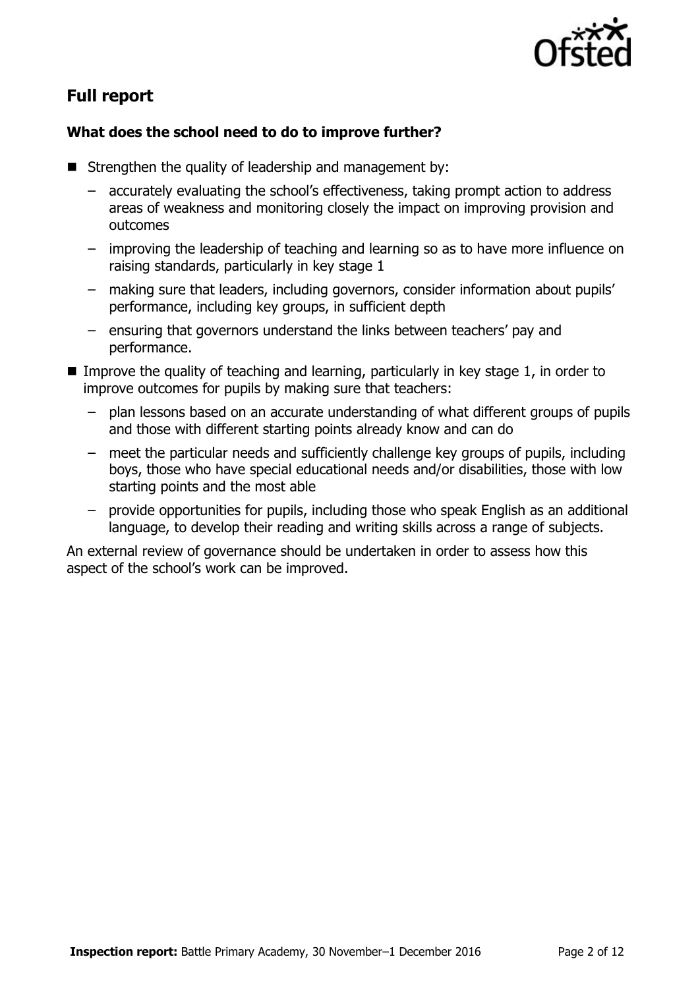

# **Full report**

### **What does the school need to do to improve further?**

- Strengthen the quality of leadership and management by:
	- accurately evaluating the school's effectiveness, taking prompt action to address areas of weakness and monitoring closely the impact on improving provision and outcomes
	- improving the leadership of teaching and learning so as to have more influence on raising standards, particularly in key stage 1
	- making sure that leaders, including governors, consider information about pupils' performance, including key groups, in sufficient depth
	- ensuring that governors understand the links between teachers' pay and performance.
- Improve the quality of teaching and learning, particularly in key stage  $1$ , in order to improve outcomes for pupils by making sure that teachers:
	- plan lessons based on an accurate understanding of what different groups of pupils and those with different starting points already know and can do
	- meet the particular needs and sufficiently challenge key groups of pupils, including boys, those who have special educational needs and/or disabilities, those with low starting points and the most able
	- provide opportunities for pupils, including those who speak English as an additional language, to develop their reading and writing skills across a range of subjects.

An external review of governance should be undertaken in order to assess how this aspect of the school's work can be improved.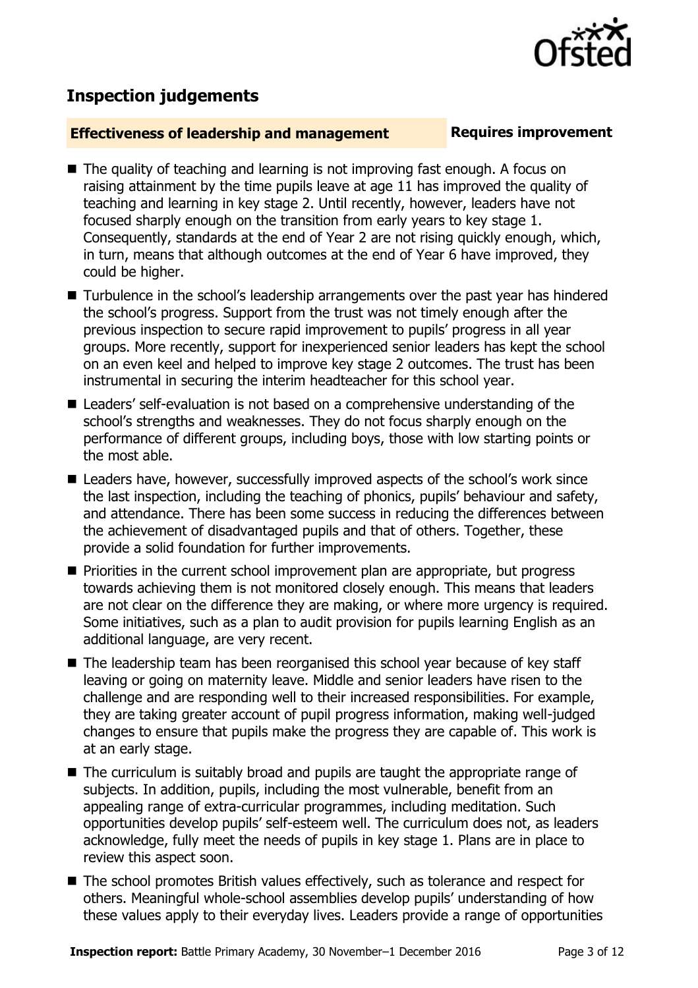## **Inspection judgements**

### **Effectiveness of leadership and management Requires improvement**

- The quality of teaching and learning is not improving fast enough. A focus on raising attainment by the time pupils leave at age 11 has improved the quality of teaching and learning in key stage 2. Until recently, however, leaders have not focused sharply enough on the transition from early years to key stage 1. Consequently, standards at the end of Year 2 are not rising quickly enough, which, in turn, means that although outcomes at the end of Year 6 have improved, they could be higher.
- Turbulence in the school's leadership arrangements over the past year has hindered the school's progress. Support from the trust was not timely enough after the previous inspection to secure rapid improvement to pupils' progress in all year groups. More recently, support for inexperienced senior leaders has kept the school on an even keel and helped to improve key stage 2 outcomes. The trust has been instrumental in securing the interim headteacher for this school year.
- Leaders' self-evaluation is not based on a comprehensive understanding of the school's strengths and weaknesses. They do not focus sharply enough on the performance of different groups, including boys, those with low starting points or the most able.
- Leaders have, however, successfully improved aspects of the school's work since the last inspection, including the teaching of phonics, pupils' behaviour and safety, and attendance. There has been some success in reducing the differences between the achievement of disadvantaged pupils and that of others. Together, these provide a solid foundation for further improvements.
- **Priorities in the current school improvement plan are appropriate, but progress** towards achieving them is not monitored closely enough. This means that leaders are not clear on the difference they are making, or where more urgency is required. Some initiatives, such as a plan to audit provision for pupils learning English as an additional language, are very recent.
- The leadership team has been reorganised this school year because of key staff leaving or going on maternity leave. Middle and senior leaders have risen to the challenge and are responding well to their increased responsibilities. For example, they are taking greater account of pupil progress information, making well-judged changes to ensure that pupils make the progress they are capable of. This work is at an early stage.
- The curriculum is suitably broad and pupils are taught the appropriate range of subjects. In addition, pupils, including the most vulnerable, benefit from an appealing range of extra-curricular programmes, including meditation. Such opportunities develop pupils' self-esteem well. The curriculum does not, as leaders acknowledge, fully meet the needs of pupils in key stage 1. Plans are in place to review this aspect soon.
- The school promotes British values effectively, such as tolerance and respect for others. Meaningful whole-school assemblies develop pupils' understanding of how these values apply to their everyday lives. Leaders provide a range of opportunities

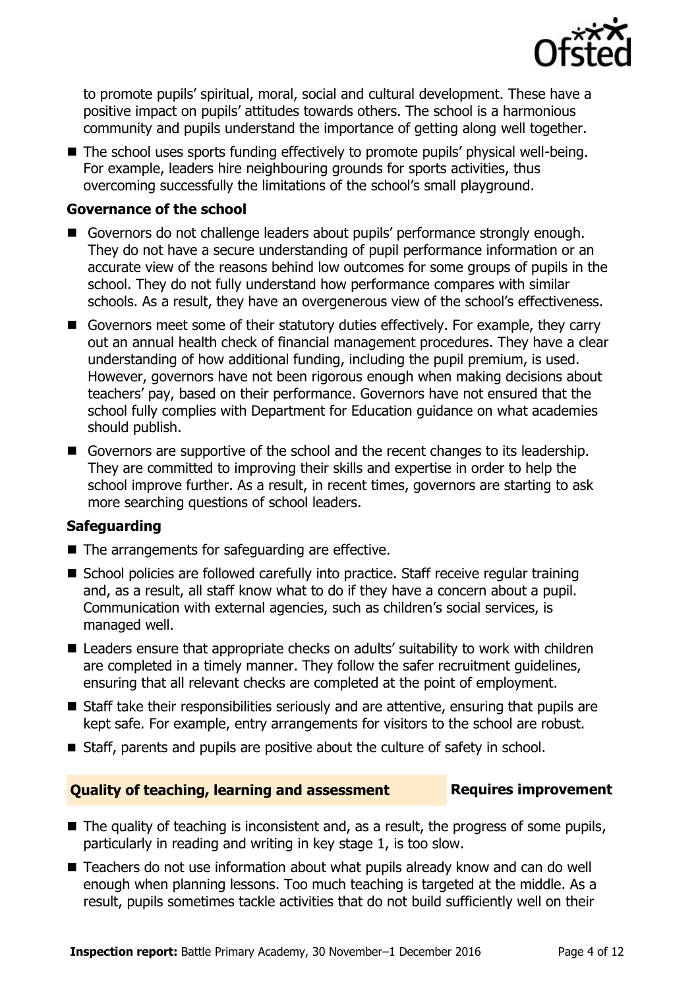

to promote pupils' spiritual, moral, social and cultural development. These have a positive impact on pupils' attitudes towards others. The school is a harmonious community and pupils understand the importance of getting along well together.

■ The school uses sports funding effectively to promote pupils' physical well-being. For example, leaders hire neighbouring grounds for sports activities, thus overcoming successfully the limitations of the school's small playground.

### **Governance of the school**

- Governors do not challenge leaders about pupils' performance strongly enough. They do not have a secure understanding of pupil performance information or an accurate view of the reasons behind low outcomes for some groups of pupils in the school. They do not fully understand how performance compares with similar schools. As a result, they have an overgenerous view of the school's effectiveness.
- Governors meet some of their statutory duties effectively. For example, they carry out an annual health check of financial management procedures. They have a clear understanding of how additional funding, including the pupil premium, is used. However, governors have not been rigorous enough when making decisions about teachers' pay, based on their performance. Governors have not ensured that the school fully complies with Department for Education guidance on what academies should publish.
- Governors are supportive of the school and the recent changes to its leadership. They are committed to improving their skills and expertise in order to help the school improve further. As a result, in recent times, governors are starting to ask more searching questions of school leaders.

### **Safeguarding**

- $\blacksquare$  The arrangements for safeguarding are effective.
- School policies are followed carefully into practice. Staff receive regular training and, as a result, all staff know what to do if they have a concern about a pupil. Communication with external agencies, such as children's social services, is managed well.
- Leaders ensure that appropriate checks on adults' suitability to work with children are completed in a timely manner. They follow the safer recruitment guidelines, ensuring that all relevant checks are completed at the point of employment.
- Staff take their responsibilities seriously and are attentive, ensuring that pupils are kept safe. For example, entry arrangements for visitors to the school are robust.
- Staff, parents and pupils are positive about the culture of safety in school.

### **Quality of teaching, learning and assessment Requires improvement**

- $\blacksquare$  The quality of teaching is inconsistent and, as a result, the progress of some pupils, particularly in reading and writing in key stage 1, is too slow.
- Teachers do not use information about what pupils already know and can do well enough when planning lessons. Too much teaching is targeted at the middle. As a result, pupils sometimes tackle activities that do not build sufficiently well on their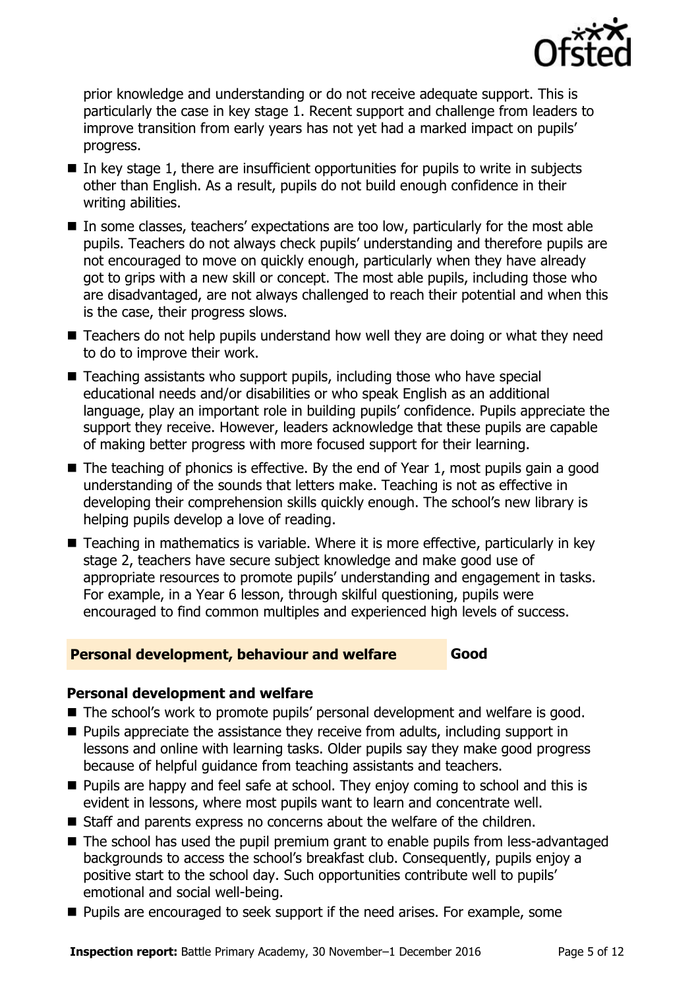

prior knowledge and understanding or do not receive adequate support. This is particularly the case in key stage 1. Recent support and challenge from leaders to improve transition from early years has not yet had a marked impact on pupils' progress.

- $\blacksquare$  In key stage 1, there are insufficient opportunities for pupils to write in subjects other than English. As a result, pupils do not build enough confidence in their writing abilities.
- In some classes, teachers' expectations are too low, particularly for the most able pupils. Teachers do not always check pupils' understanding and therefore pupils are not encouraged to move on quickly enough, particularly when they have already got to grips with a new skill or concept. The most able pupils, including those who are disadvantaged, are not always challenged to reach their potential and when this is the case, their progress slows.
- Teachers do not help pupils understand how well they are doing or what they need to do to improve their work.
- Teaching assistants who support pupils, including those who have special educational needs and/or disabilities or who speak English as an additional language, play an important role in building pupils' confidence. Pupils appreciate the support they receive. However, leaders acknowledge that these pupils are capable of making better progress with more focused support for their learning.
- $\blacksquare$  The teaching of phonics is effective. By the end of Year 1, most pupils gain a good understanding of the sounds that letters make. Teaching is not as effective in developing their comprehension skills quickly enough. The school's new library is helping pupils develop a love of reading.
- Teaching in mathematics is variable. Where it is more effective, particularly in key stage 2, teachers have secure subject knowledge and make good use of appropriate resources to promote pupils' understanding and engagement in tasks. For example, in a Year 6 lesson, through skilful questioning, pupils were encouraged to find common multiples and experienced high levels of success.

### **Personal development, behaviour and welfare Figure 4 Good**

### **Personal development and welfare**

- The school's work to promote pupils' personal development and welfare is good.
- $\blacksquare$  Pupils appreciate the assistance they receive from adults, including support in lessons and online with learning tasks. Older pupils say they make good progress because of helpful guidance from teaching assistants and teachers.
- $\blacksquare$  Pupils are happy and feel safe at school. They enjoy coming to school and this is evident in lessons, where most pupils want to learn and concentrate well.
- Staff and parents express no concerns about the welfare of the children.
- The school has used the pupil premium grant to enable pupils from less-advantaged backgrounds to access the school's breakfast club. Consequently, pupils enjoy a positive start to the school day. Such opportunities contribute well to pupils' emotional and social well-being.
- **Pupils are encouraged to seek support if the need arises. For example, some**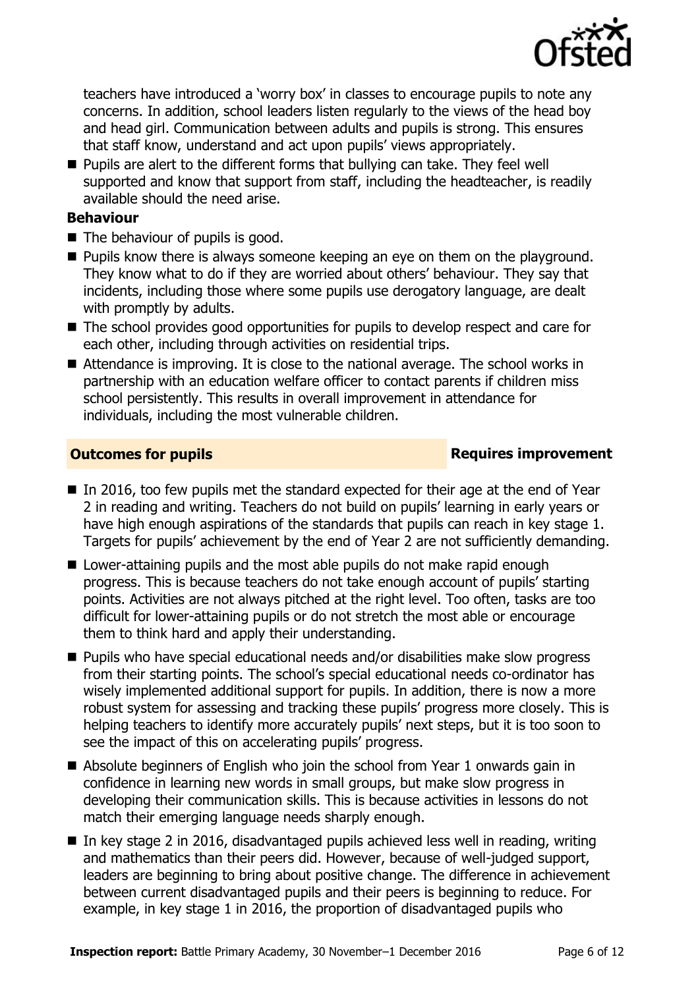

teachers have introduced a 'worry box' in classes to encourage pupils to note any concerns. In addition, school leaders listen regularly to the views of the head boy and head girl. Communication between adults and pupils is strong. This ensures that staff know, understand and act upon pupils' views appropriately.

**Pupils are alert to the different forms that bullying can take. They feel well** supported and know that support from staff, including the headteacher, is readily available should the need arise.

### **Behaviour**

- The behaviour of pupils is good.
- **Pupils know there is always someone keeping an eye on them on the playground.** They know what to do if they are worried about others' behaviour. They say that incidents, including those where some pupils use derogatory language, are dealt with promptly by adults.
- The school provides good opportunities for pupils to develop respect and care for each other, including through activities on residential trips.
- Attendance is improving. It is close to the national average. The school works in partnership with an education welfare officer to contact parents if children miss school persistently. This results in overall improvement in attendance for individuals, including the most vulnerable children.

### **Outcomes for pupils Requires improvement**

- In 2016, too few pupils met the standard expected for their age at the end of Year 2 in reading and writing. Teachers do not build on pupils' learning in early years or have high enough aspirations of the standards that pupils can reach in key stage 1. Targets for pupils' achievement by the end of Year 2 are not sufficiently demanding.
- Lower-attaining pupils and the most able pupils do not make rapid enough progress. This is because teachers do not take enough account of pupils' starting points. Activities are not always pitched at the right level. Too often, tasks are too difficult for lower-attaining pupils or do not stretch the most able or encourage them to think hard and apply their understanding.
- Pupils who have special educational needs and/or disabilities make slow progress from their starting points. The school's special educational needs co-ordinator has wisely implemented additional support for pupils. In addition, there is now a more robust system for assessing and tracking these pupils' progress more closely. This is helping teachers to identify more accurately pupils' next steps, but it is too soon to see the impact of this on accelerating pupils' progress.
- Absolute beginners of English who join the school from Year 1 onwards gain in confidence in learning new words in small groups, but make slow progress in developing their communication skills. This is because activities in lessons do not match their emerging language needs sharply enough.
- In key stage 2 in 2016, disadvantaged pupils achieved less well in reading, writing and mathematics than their peers did. However, because of well-judged support, leaders are beginning to bring about positive change. The difference in achievement between current disadvantaged pupils and their peers is beginning to reduce. For example, in key stage 1 in 2016, the proportion of disadvantaged pupils who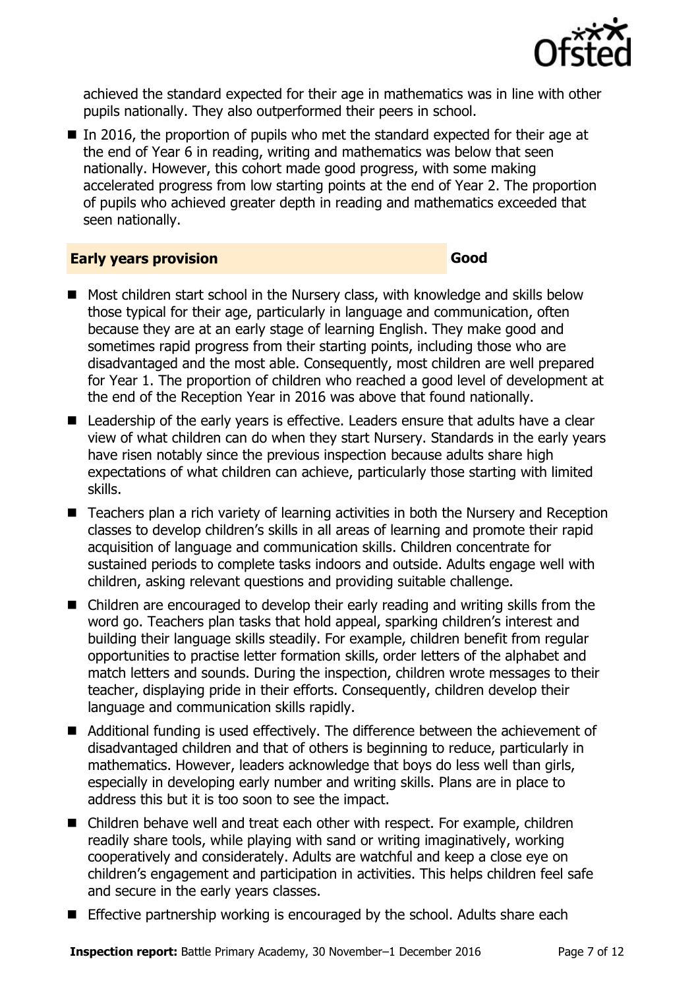

achieved the standard expected for their age in mathematics was in line with other pupils nationally. They also outperformed their peers in school.

 $\blacksquare$  In 2016, the proportion of pupils who met the standard expected for their age at the end of Year 6 in reading, writing and mathematics was below that seen nationally. However, this cohort made good progress, with some making accelerated progress from low starting points at the end of Year 2. The proportion of pupils who achieved greater depth in reading and mathematics exceeded that seen nationally.

### **Early years provision Good Good**

- Most children start school in the Nursery class, with knowledge and skills below those typical for their age, particularly in language and communication, often because they are at an early stage of learning English. They make good and sometimes rapid progress from their starting points, including those who are disadvantaged and the most able. Consequently, most children are well prepared for Year 1. The proportion of children who reached a good level of development at the end of the Reception Year in 2016 was above that found nationally.
- Leadership of the early years is effective. Leaders ensure that adults have a clear view of what children can do when they start Nursery. Standards in the early years have risen notably since the previous inspection because adults share high expectations of what children can achieve, particularly those starting with limited skills.
- Teachers plan a rich variety of learning activities in both the Nursery and Reception classes to develop children's skills in all areas of learning and promote their rapid acquisition of language and communication skills. Children concentrate for sustained periods to complete tasks indoors and outside. Adults engage well with children, asking relevant questions and providing suitable challenge.
- Children are encouraged to develop their early reading and writing skills from the word go. Teachers plan tasks that hold appeal, sparking children's interest and building their language skills steadily. For example, children benefit from regular opportunities to practise letter formation skills, order letters of the alphabet and match letters and sounds. During the inspection, children wrote messages to their teacher, displaying pride in their efforts. Consequently, children develop their language and communication skills rapidly.
- Additional funding is used effectively. The difference between the achievement of disadvantaged children and that of others is beginning to reduce, particularly in mathematics. However, leaders acknowledge that boys do less well than girls, especially in developing early number and writing skills. Plans are in place to address this but it is too soon to see the impact.
- Children behave well and treat each other with respect. For example, children readily share tools, while playing with sand or writing imaginatively, working cooperatively and considerately. Adults are watchful and keep a close eye on children's engagement and participation in activities. This helps children feel safe and secure in the early years classes.
- **Effective partnership working is encouraged by the school. Adults share each**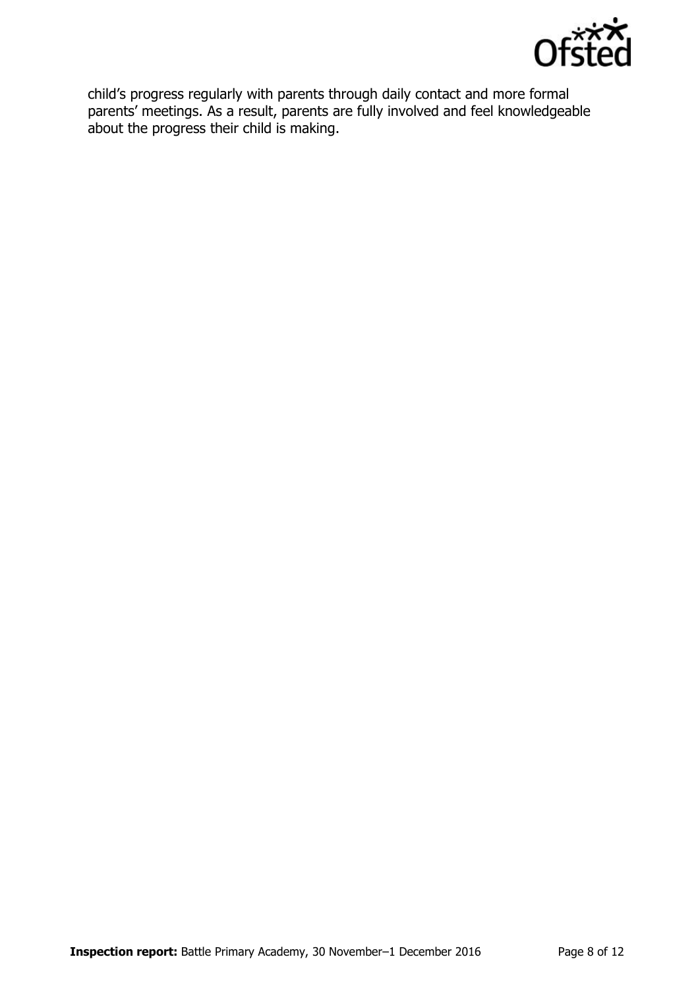

child's progress regularly with parents through daily contact and more formal parents' meetings. As a result, parents are fully involved and feel knowledgeable about the progress their child is making.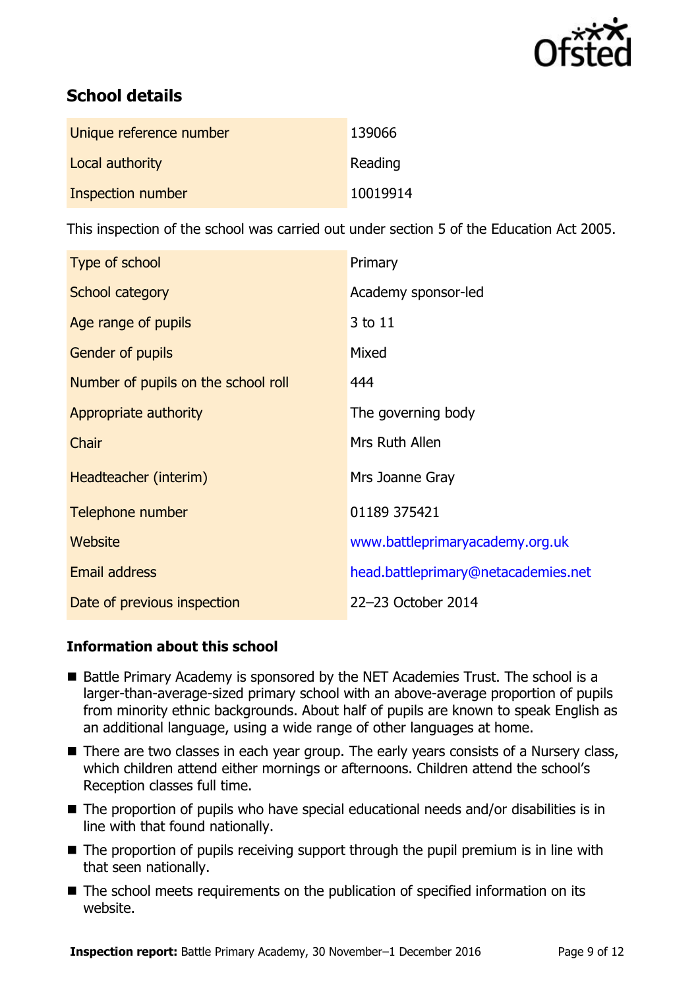

# **School details**

| Unique reference number | 139066   |
|-------------------------|----------|
| Local authority         | Reading  |
| Inspection number       | 10019914 |

This inspection of the school was carried out under section 5 of the Education Act 2005.

| Type of school                      | Primary                             |
|-------------------------------------|-------------------------------------|
| School category                     | Academy sponsor-led                 |
| Age range of pupils                 | 3 to 11                             |
| <b>Gender of pupils</b>             | Mixed                               |
| Number of pupils on the school roll | 444                                 |
| Appropriate authority               | The governing body                  |
| Chair                               | Mrs Ruth Allen                      |
| Headteacher (interim)               | Mrs Joanne Gray                     |
| Telephone number                    | 01189 375421                        |
| Website                             | www.battleprimaryacademy.org.uk     |
| <b>Email address</b>                | head.battleprimary@netacademies.net |
| Date of previous inspection         | 22-23 October 2014                  |

### **Information about this school**

- Battle Primary Academy is sponsored by the NET Academies Trust. The school is a larger-than-average-sized primary school with an above-average proportion of pupils from minority ethnic backgrounds. About half of pupils are known to speak English as an additional language, using a wide range of other languages at home.
- There are two classes in each year group. The early years consists of a Nursery class, which children attend either mornings or afternoons. Children attend the school's Reception classes full time.
- The proportion of pupils who have special educational needs and/or disabilities is in line with that found nationally.
- The proportion of pupils receiving support through the pupil premium is in line with that seen nationally.
- The school meets requirements on the publication of specified information on its website.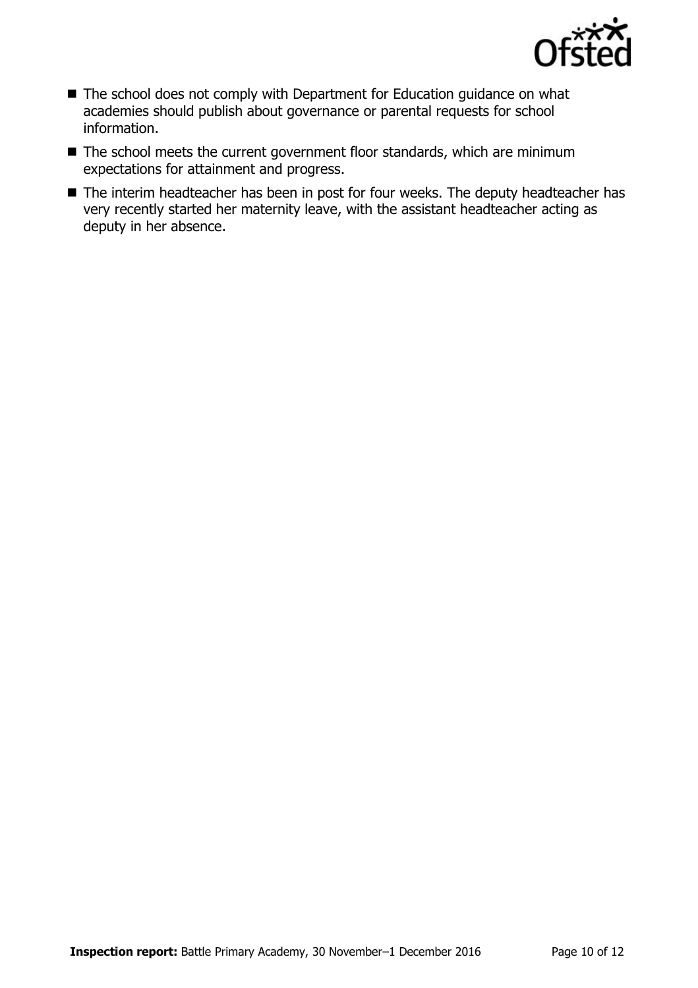

- The school does not comply with Department for Education guidance on what academies should publish about governance or parental requests for school information.
- The school meets the current government floor standards, which are minimum expectations for attainment and progress.
- The interim headteacher has been in post for four weeks. The deputy headteacher has very recently started her maternity leave, with the assistant headteacher acting as deputy in her absence.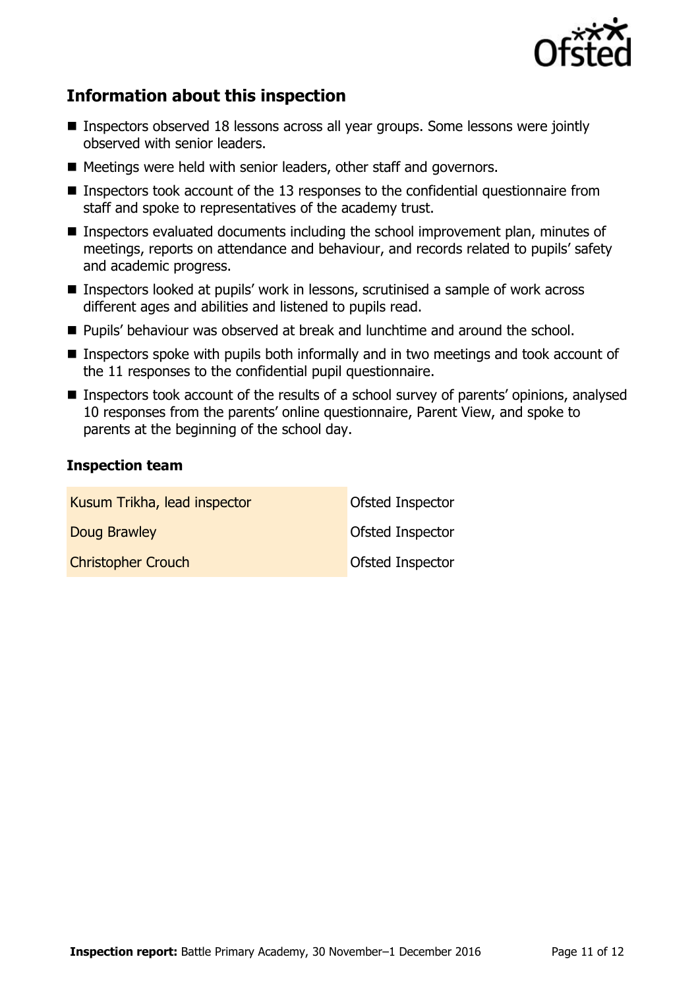

# **Information about this inspection**

- Inspectors observed 18 lessons across all year groups. Some lessons were jointly observed with senior leaders.
- Meetings were held with senior leaders, other staff and governors.
- Inspectors took account of the 13 responses to the confidential questionnaire from staff and spoke to representatives of the academy trust.
- Inspectors evaluated documents including the school improvement plan, minutes of meetings, reports on attendance and behaviour, and records related to pupils' safety and academic progress.
- Inspectors looked at pupils' work in lessons, scrutinised a sample of work across different ages and abilities and listened to pupils read.
- **Pupils' behaviour was observed at break and lunchtime and around the school.**
- Inspectors spoke with pupils both informally and in two meetings and took account of the 11 responses to the confidential pupil questionnaire.
- **Inspectors took account of the results of a school survey of parents' opinions, analysed** 10 responses from the parents' online questionnaire, Parent View, and spoke to parents at the beginning of the school day.

### **Inspection team**

| Kusum Trikha, lead inspector | Ofsted Inspector        |
|------------------------------|-------------------------|
| Doug Brawley                 | <b>Ofsted Inspector</b> |
| <b>Christopher Crouch</b>    | Ofsted Inspector        |